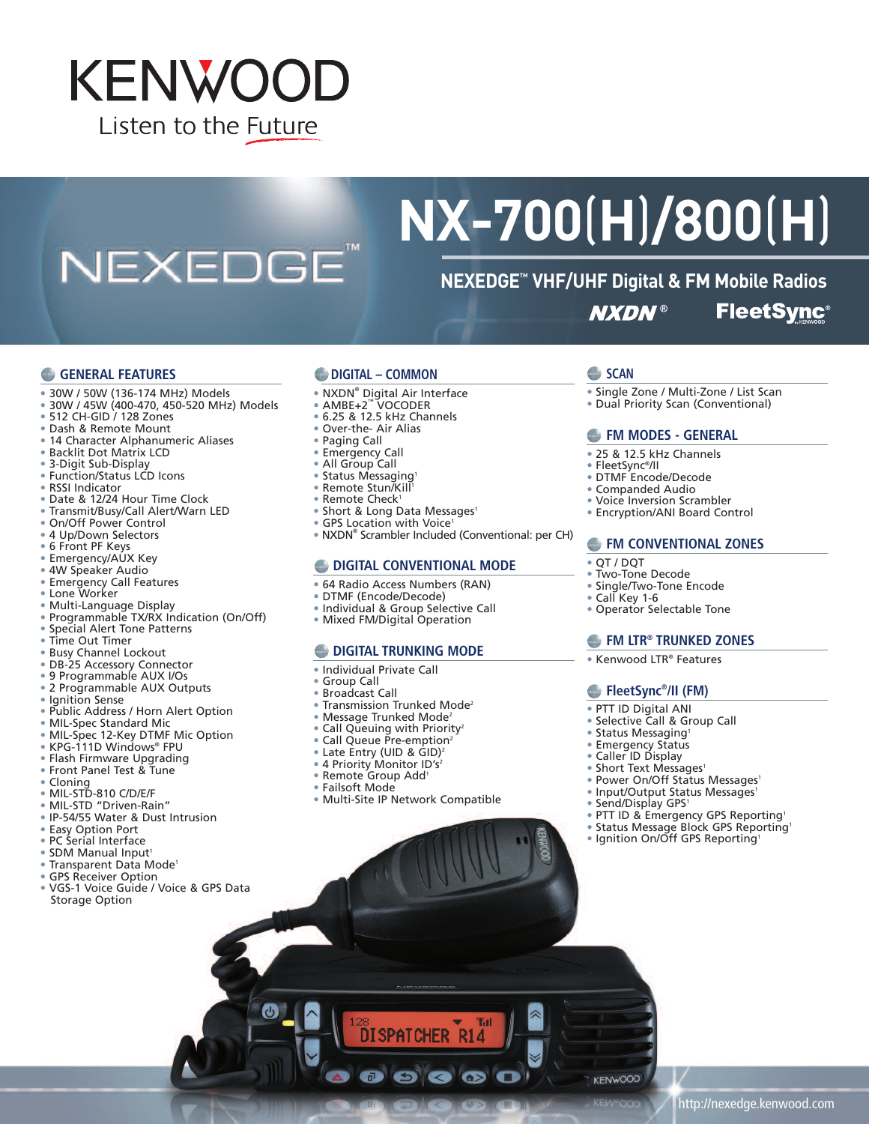# **KENWOOD** Listen to the Future

NEXEDGE<sup>®</sup>

# **NX-700**(**H**)**/800**(**H**)

#### **NEXEDGE™ VHF/UHF Digital & FM Mobile Radios FleetSync® NXDN®**

#### **GENERAL FEATURES**

- 30W / 50W (136-174 MHz) Models
- 30W / 45W (400-470, 450-520 MHz) Models
- 512 CH-GID / 128 Zones
- Dash & Remote Mount
- 14 Character Alphanumeric Aliases
- Backlit Dot Matrix LCD
- 3-Digit Sub-Display
- Function/Status LCD Icons
- RSSI Indicator
- Date & 12/24 Hour Time Clock
- Transmit/Busy/Call Alert/Warn LED
- On/Off Power Control
- 4 Up/Down Selectors
- 6 Front PF Keys
- Emergency/AUX Key • 4W Speaker Audio
- 
- Emergency Call Features
- Lone Worker
- Multi-Language Display
- Programmable TX/RX Indication (On/Off)
- Special Alert Tone Patterns
- Time Out Timer
- Busy Channel Lockout
- DB-25 Accessory Connector
- 9 Programmable AUX I/Os
- 2 Programmable AUX Outputs
- 
- Ignition Sense
- Public Address / Horn Alert Option
- MIL-Spec Standard Mic
- MIL-Spec 12-Key DTMF Mic Option
- KPG-111D Windows® FPU
- Flash Firmware Upgrading
- Front Panel Test & Tune
- Cloning
- 
- MIL-STD-810 C/D/E/F • MIL-STD "Driven-Rain"
- IP-54/55 Water & Dust Intrusion
- 
- Easy Option Port • PC Serial Interface
- 
- SDM Manual Input<sup>1</sup>
- Transparent Data Mode1
- GPS Receiver Option
- VGS-1 Voice Guide / Voice & GPS Data Storage Option

#### **DIGITAL – COMMON**

- NXDN® Digital Air Interface
- AMBE+2™ VOCODER
- 6.25 & 12.5 kHz Channels
- Over-the- Air Alias
- Paging Call
- Emergency Call
- All Group Call
- Status Messaging<sup>1</sup>
- Remote Stun/Kill 1
- Remote Check<sup>1</sup>
- Short & Long Data Messages<sup>1</sup>
- GPS Location with Voice<sup>1</sup>
- NXDN® Scrambler Included (Conventional: per CH)

#### **DIGITAL CONVENTIONAL MODE**

- 64 Radio Access Numbers (RAN)
- DTMF (Encode/Decode)
- 
- Individual & Group Selective Call
- Mixed FM/Digital Operation

#### **DIGITAL TRUNKING MODE**

- Individual Private Call
- Group Call
- Broadcast Call
- Transmission Trunked Mode<sup>2</sup>
- Message Trunked Mode<sup>2</sup>
- Call Queuing with Priority<sup>2</sup>
- 
- Call Queue Pre-emption<sup>2</sup>
- Late Entry (UID & GID)<sup>2</sup>
- 4 Priority Monitor ID's<sup>2</sup> • Remote Group Add1
- Failsoft Mode

O)

• Multi-Site IP Network Compatible

**DISPATCHER R14** 

 $\bullet$ 

œ

 $\bullet$ 

 $\blacksquare$ 

## **SCAN**

- Single Zone / Multi-Zone / List Scan
- Dual Priority Scan (Conventional)

#### **FM MODES - GENERAL**

- 25 & 12.5 kHz Channels
- FleetSync®/II
- DTMF Encode/Decode
- Companded Audio
- Voice Inversion Scrambler
- Encryption/ANI Board Control

#### **FM CONVENTIONAL ZONES**

- QT / DQT
- Two-Tone Decode
- Single/Two-Tone Encode
- Call Key 1-6
- Operator Selectable Tone

#### **FM LTR® TRUNKED ZONES**

• Power On/Off Status Messages<sup>1</sup> • Input/Output Status Messages<sup>1</sup>

• PTT ID & Emergency GPS Reporting<sup>1</sup> • Status Message Block GPS Reporting<sup>1</sup> • Ignition On/Off GPS Reporting<sup>1</sup>

http://nexedge.kenwood.com

• Send/Display GPS<sup>1</sup>

**KENWOOD** 

• Kenwood LTR® Features

**FleetSync® /II (FM)** • PTT ID Digital ANI • Selective Call & Group Call • Status Messaging1 • Emergency Status • Caller ID Display • Short Text Messages<sup>1</sup>